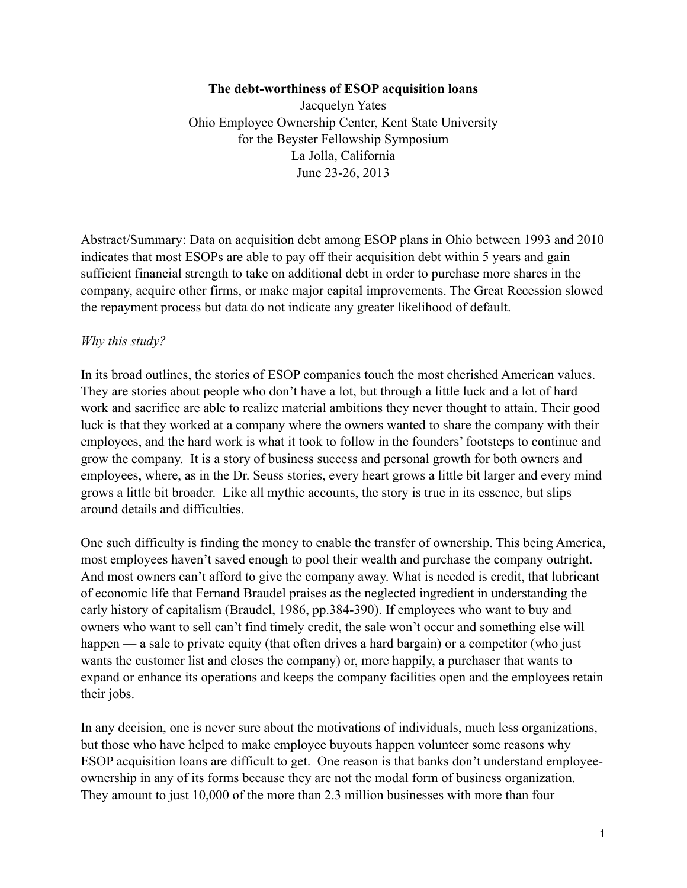#### **The debt-worthiness of ESOP acquisition loans**

Jacquelyn Yates Ohio Employee Ownership Center, Kent State University for the Beyster Fellowship Symposium La Jolla, California June 23-26, 2013

Abstract/Summary: Data on acquisition debt among ESOP plans in Ohio between 1993 and 2010 indicates that most ESOPs are able to pay off their acquisition debt within 5 years and gain sufficient financial strength to take on additional debt in order to purchase more shares in the company, acquire other firms, or make major capital improvements. The Great Recession slowed the repayment process but data do not indicate any greater likelihood of default.

#### *Why this study?*

In its broad outlines, the stories of ESOP companies touch the most cherished American values. They are stories about people who don't have a lot, but through a little luck and a lot of hard work and sacrifice are able to realize material ambitions they never thought to attain. Their good luck is that they worked at a company where the owners wanted to share the company with their employees, and the hard work is what it took to follow in the founders' footsteps to continue and grow the company. It is a story of business success and personal growth for both owners and employees, where, as in the Dr. Seuss stories, every heart grows a little bit larger and every mind grows a little bit broader. Like all mythic accounts, the story is true in its essence, but slips around details and difficulties.

One such difficulty is finding the money to enable the transfer of ownership. This being America, most employees haven't saved enough to pool their wealth and purchase the company outright. And most owners can't afford to give the company away. What is needed is credit, that lubricant of economic life that Fernand Braudel praises as the neglected ingredient in understanding the early history of capitalism (Braudel, 1986, pp.384-390). If employees who want to buy and owners who want to sell can't find timely credit, the sale won't occur and something else will happen — a sale to private equity (that often drives a hard bargain) or a competitor (who just wants the customer list and closes the company) or, more happily, a purchaser that wants to expand or enhance its operations and keeps the company facilities open and the employees retain their jobs.

In any decision, one is never sure about the motivations of individuals, much less organizations, but those who have helped to make employee buyouts happen volunteer some reasons why ESOP acquisition loans are difficult to get. One reason is that banks don't understand employeeownership in any of its forms because they are not the modal form of business organization. They amount to just 10,000 of the more than 2.3 million businesses with more than four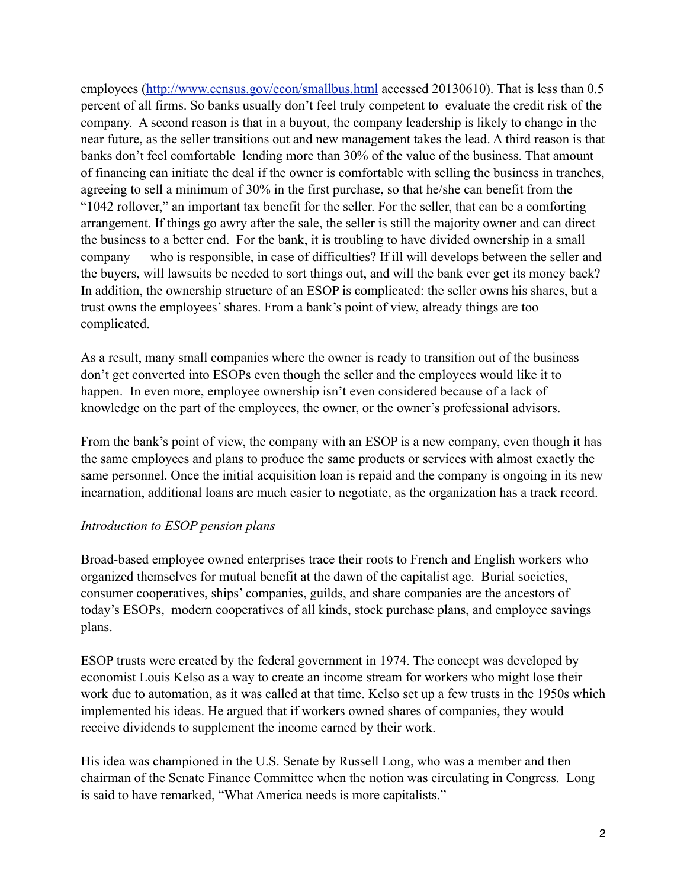employees [\(http://www.census.gov/econ/smallbus.html](http://www.census.gov/econ/smallbus.html) accessed 20130610). That is less than 0.5 percent of all firms. So banks usually don't feel truly competent to evaluate the credit risk of the company. A second reason is that in a buyout, the company leadership is likely to change in the near future, as the seller transitions out and new management takes the lead. A third reason is that banks don't feel comfortable lending more than 30% of the value of the business. That amount of financing can initiate the deal if the owner is comfortable with selling the business in tranches, agreeing to sell a minimum of 30% in the first purchase, so that he/she can benefit from the "1042 rollover," an important tax benefit for the seller. For the seller, that can be a comforting arrangement. If things go awry after the sale, the seller is still the majority owner and can direct the business to a better end. For the bank, it is troubling to have divided ownership in a small company — who is responsible, in case of difficulties? If ill will develops between the seller and the buyers, will lawsuits be needed to sort things out, and will the bank ever get its money back? In addition, the ownership structure of an ESOP is complicated: the seller owns his shares, but a trust owns the employees' shares. From a bank's point of view, already things are too complicated.

As a result, many small companies where the owner is ready to transition out of the business don't get converted into ESOPs even though the seller and the employees would like it to happen. In even more, employee ownership isn't even considered because of a lack of knowledge on the part of the employees, the owner, or the owner's professional advisors.

From the bank's point of view, the company with an ESOP is a new company, even though it has the same employees and plans to produce the same products or services with almost exactly the same personnel. Once the initial acquisition loan is repaid and the company is ongoing in its new incarnation, additional loans are much easier to negotiate, as the organization has a track record.

## *Introduction to ESOP pension plans*

Broad-based employee owned enterprises trace their roots to French and English workers who organized themselves for mutual benefit at the dawn of the capitalist age. Burial societies, consumer cooperatives, ships' companies, guilds, and share companies are the ancestors of today's ESOPs, modern cooperatives of all kinds, stock purchase plans, and employee savings plans.

ESOP trusts were created by the federal government in 1974. The concept was developed by economist Louis Kelso as a way to create an income stream for workers who might lose their work due to automation, as it was called at that time. Kelso set up a few trusts in the 1950s which implemented his ideas. He argued that if workers owned shares of companies, they would receive dividends to supplement the income earned by their work.

His idea was championed in the U.S. Senate by Russell Long, who was a member and then chairman of the Senate Finance Committee when the notion was circulating in Congress. Long is said to have remarked, "What America needs is more capitalists."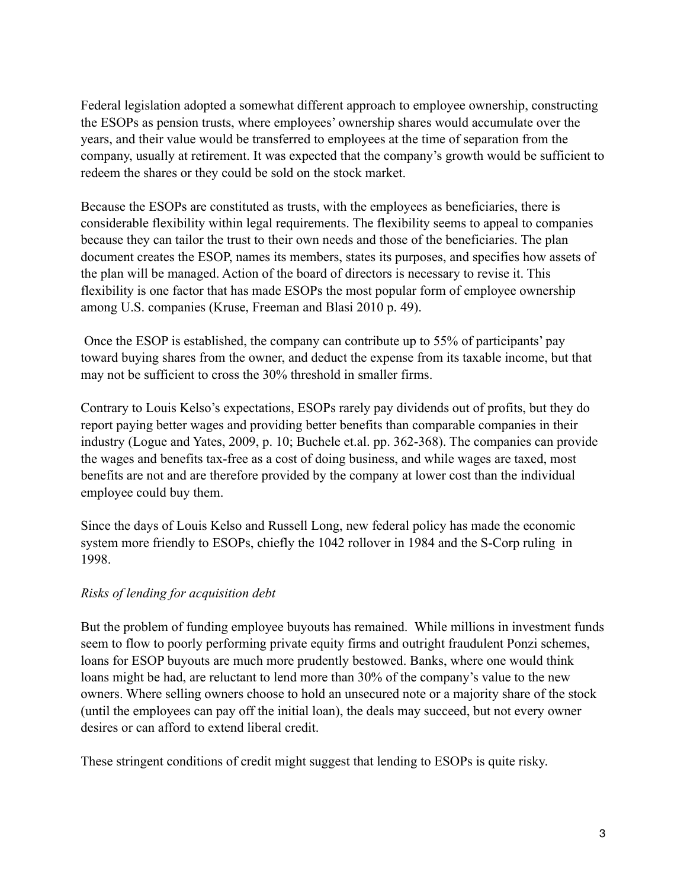Federal legislation adopted a somewhat different approach to employee ownership, constructing the ESOPs as pension trusts, where employees' ownership shares would accumulate over the years, and their value would be transferred to employees at the time of separation from the company, usually at retirement. It was expected that the company's growth would be sufficient to redeem the shares or they could be sold on the stock market.

Because the ESOPs are constituted as trusts, with the employees as beneficiaries, there is considerable flexibility within legal requirements. The flexibility seems to appeal to companies because they can tailor the trust to their own needs and those of the beneficiaries. The plan document creates the ESOP, names its members, states its purposes, and specifies how assets of the plan will be managed. Action of the board of directors is necessary to revise it. This flexibility is one factor that has made ESOPs the most popular form of employee ownership among U.S. companies (Kruse, Freeman and Blasi 2010 p. 49).

 Once the ESOP is established, the company can contribute up to 55% of participants' pay toward buying shares from the owner, and deduct the expense from its taxable income, but that may not be sufficient to cross the 30% threshold in smaller firms.

Contrary to Louis Kelso's expectations, ESOPs rarely pay dividends out of profits, but they do report paying better wages and providing better benefits than comparable companies in their industry (Logue and Yates, 2009, p. 10; Buchele et.al. pp. 362-368). The companies can provide the wages and benefits tax-free as a cost of doing business, and while wages are taxed, most benefits are not and are therefore provided by the company at lower cost than the individual employee could buy them.

Since the days of Louis Kelso and Russell Long, new federal policy has made the economic system more friendly to ESOPs, chiefly the 1042 rollover in 1984 and the S-Corp ruling in 1998.

## *Risks of lending for acquisition debt*

But the problem of funding employee buyouts has remained. While millions in investment funds seem to flow to poorly performing private equity firms and outright fraudulent Ponzi schemes, loans for ESOP buyouts are much more prudently bestowed. Banks, where one would think loans might be had, are reluctant to lend more than 30% of the company's value to the new owners. Where selling owners choose to hold an unsecured note or a majority share of the stock (until the employees can pay off the initial loan), the deals may succeed, but not every owner desires or can afford to extend liberal credit.

These stringent conditions of credit might suggest that lending to ESOPs is quite risky.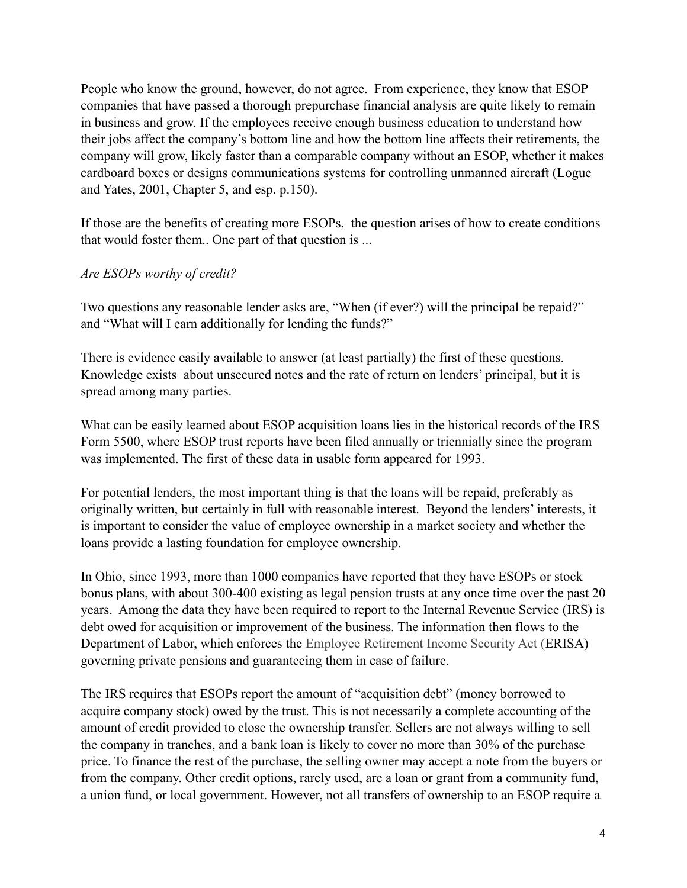People who know the ground, however, do not agree. From experience, they know that ESOP companies that have passed a thorough prepurchase financial analysis are quite likely to remain in business and grow. If the employees receive enough business education to understand how their jobs affect the company's bottom line and how the bottom line affects their retirements, the company will grow, likely faster than a comparable company without an ESOP, whether it makes cardboard boxes or designs communications systems for controlling unmanned aircraft (Logue and Yates, 2001, Chapter 5, and esp. p.150).

If those are the benefits of creating more ESOPs, the question arises of how to create conditions that would foster them.. One part of that question is ...

## *Are ESOPs worthy of credit?*

Two questions any reasonable lender asks are, "When (if ever?) will the principal be repaid?" and "What will I earn additionally for lending the funds?"

There is evidence easily available to answer (at least partially) the first of these questions. Knowledge exists about unsecured notes and the rate of return on lenders' principal, but it is spread among many parties.

What can be easily learned about ESOP acquisition loans lies in the historical records of the IRS Form 5500, where ESOP trust reports have been filed annually or triennially since the program was implemented. The first of these data in usable form appeared for 1993.

For potential lenders, the most important thing is that the loans will be repaid, preferably as originally written, but certainly in full with reasonable interest. Beyond the lenders' interests, it is important to consider the value of employee ownership in a market society and whether the loans provide a lasting foundation for employee ownership.

In Ohio, since 1993, more than 1000 companies have reported that they have ESOPs or stock bonus plans, with about 300-400 existing as legal pension trusts at any once time over the past 20 years. Among the data they have been required to report to the Internal Revenue Service (IRS) is debt owed for acquisition or improvement of the business. The information then flows to the Department of Labor, which enforces the Employee Retirement Income Security Act (ERISA) governing private pensions and guaranteeing them in case of failure.

The IRS requires that ESOPs report the amount of "acquisition debt" (money borrowed to acquire company stock) owed by the trust. This is not necessarily a complete accounting of the amount of credit provided to close the ownership transfer. Sellers are not always willing to sell the company in tranches, and a bank loan is likely to cover no more than 30% of the purchase price. To finance the rest of the purchase, the selling owner may accept a note from the buyers or from the company. Other credit options, rarely used, are a loan or grant from a community fund, a union fund, or local government. However, not all transfers of ownership to an ESOP require a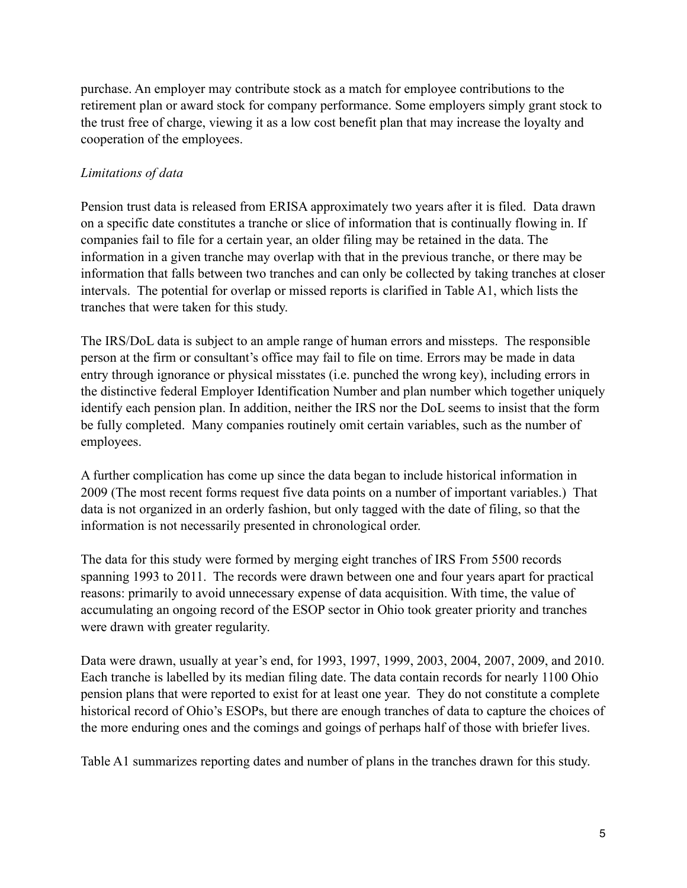purchase. An employer may contribute stock as a match for employee contributions to the retirement plan or award stock for company performance. Some employers simply grant stock to the trust free of charge, viewing it as a low cost benefit plan that may increase the loyalty and cooperation of the employees.

## *Limitations of data*

Pension trust data is released from ERISA approximately two years after it is filed. Data drawn on a specific date constitutes a tranche or slice of information that is continually flowing in. If companies fail to file for a certain year, an older filing may be retained in the data. The information in a given tranche may overlap with that in the previous tranche, or there may be information that falls between two tranches and can only be collected by taking tranches at closer intervals. The potential for overlap or missed reports is clarified in Table A1, which lists the tranches that were taken for this study.

The IRS/DoL data is subject to an ample range of human errors and missteps. The responsible person at the firm or consultant's office may fail to file on time. Errors may be made in data entry through ignorance or physical misstates (i.e. punched the wrong key), including errors in the distinctive federal Employer Identification Number and plan number which together uniquely identify each pension plan. In addition, neither the IRS nor the DoL seems to insist that the form be fully completed. Many companies routinely omit certain variables, such as the number of employees.

A further complication has come up since the data began to include historical information in 2009 (The most recent forms request five data points on a number of important variables.) That data is not organized in an orderly fashion, but only tagged with the date of filing, so that the information is not necessarily presented in chronological order.

The data for this study were formed by merging eight tranches of IRS From 5500 records spanning 1993 to 2011. The records were drawn between one and four years apart for practical reasons: primarily to avoid unnecessary expense of data acquisition. With time, the value of accumulating an ongoing record of the ESOP sector in Ohio took greater priority and tranches were drawn with greater regularity.

Data were drawn, usually at year's end, for 1993, 1997, 1999, 2003, 2004, 2007, 2009, and 2010. Each tranche is labelled by its median filing date. The data contain records for nearly 1100 Ohio pension plans that were reported to exist for at least one year. They do not constitute a complete historical record of Ohio's ESOPs, but there are enough tranches of data to capture the choices of the more enduring ones and the comings and goings of perhaps half of those with briefer lives.

Table A1 summarizes reporting dates and number of plans in the tranches drawn for this study.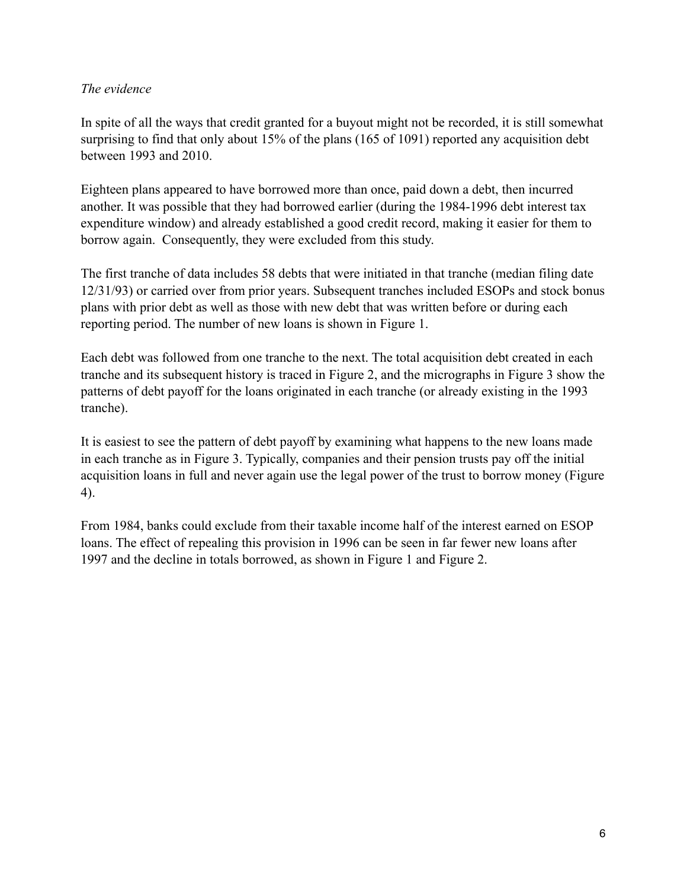## *The evidence*

In spite of all the ways that credit granted for a buyout might not be recorded, it is still somewhat surprising to find that only about 15% of the plans (165 of 1091) reported any acquisition debt between 1993 and 2010.

Eighteen plans appeared to have borrowed more than once, paid down a debt, then incurred another. It was possible that they had borrowed earlier (during the 1984-1996 debt interest tax expenditure window) and already established a good credit record, making it easier for them to borrow again. Consequently, they were excluded from this study.

The first tranche of data includes 58 debts that were initiated in that tranche (median filing date 12/31/93) or carried over from prior years. Subsequent tranches included ESOPs and stock bonus plans with prior debt as well as those with new debt that was written before or during each reporting period. The number of new loans is shown in Figure 1.

Each debt was followed from one tranche to the next. The total acquisition debt created in each tranche and its subsequent history is traced in Figure 2, and the micrographs in Figure 3 show the patterns of debt payoff for the loans originated in each tranche (or already existing in the 1993 tranche).

It is easiest to see the pattern of debt payoff by examining what happens to the new loans made in each tranche as in Figure 3. Typically, companies and their pension trusts pay off the initial acquisition loans in full and never again use the legal power of the trust to borrow money (Figure 4).

From 1984, banks could exclude from their taxable income half of the interest earned on ESOP loans. The effect of repealing this provision in 1996 can be seen in far fewer new loans after 1997 and the decline in totals borrowed, as shown in Figure 1 and Figure 2.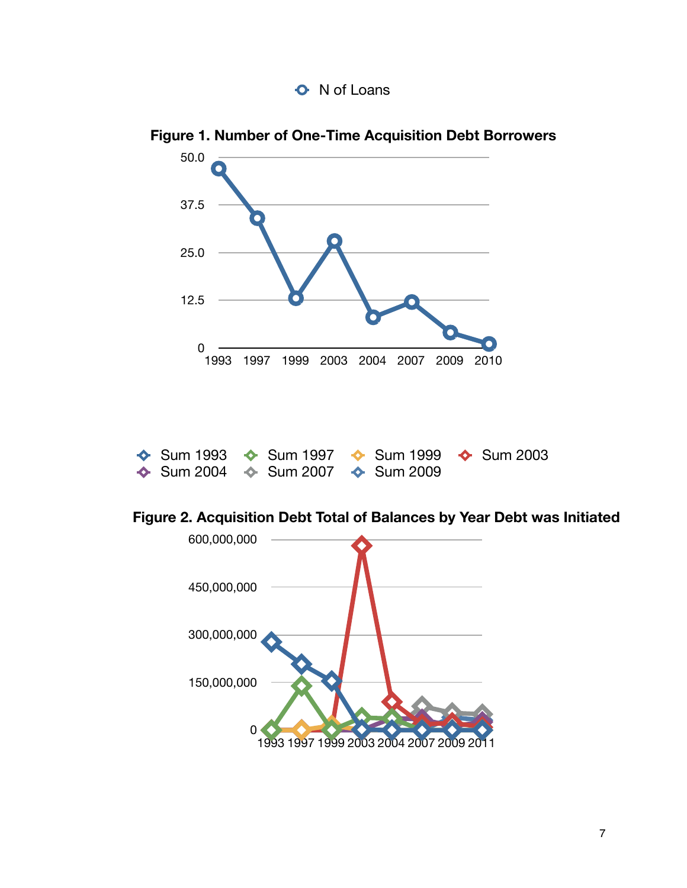



**Figure 1. Number of One-Time Acquisition Debt Borrowers**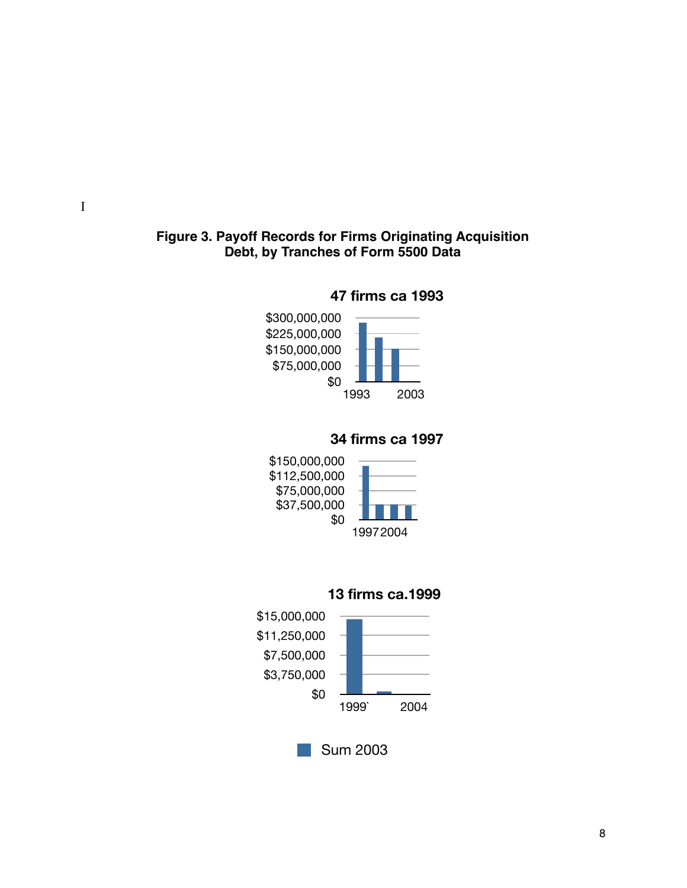## **Figure 3. Payoff Records for Firms Originating Acquisition Debt, by Tranches of Form 5500 Data**





# **34 firms ca 1997**







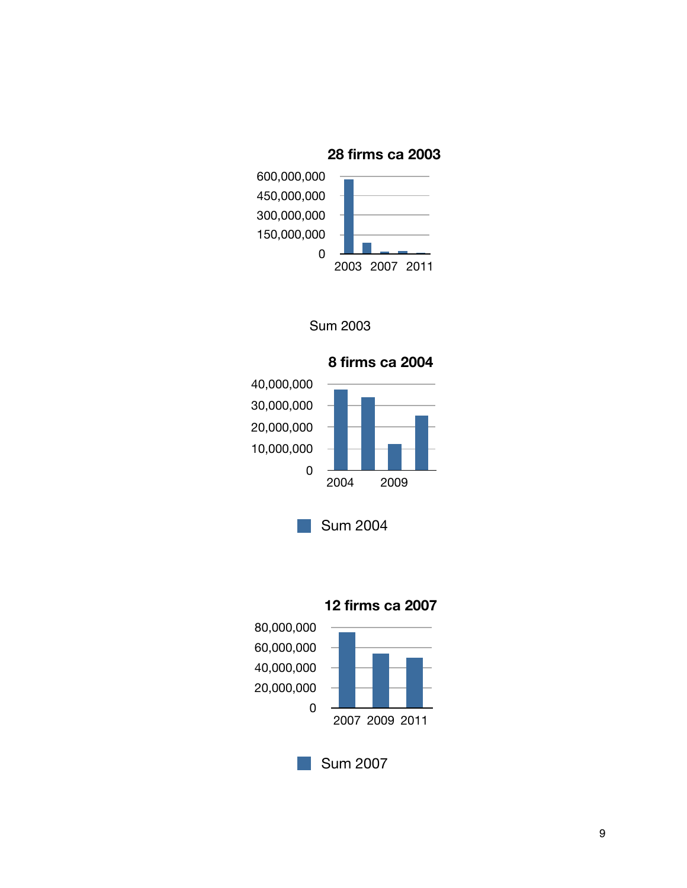**28 firms ca 2003**







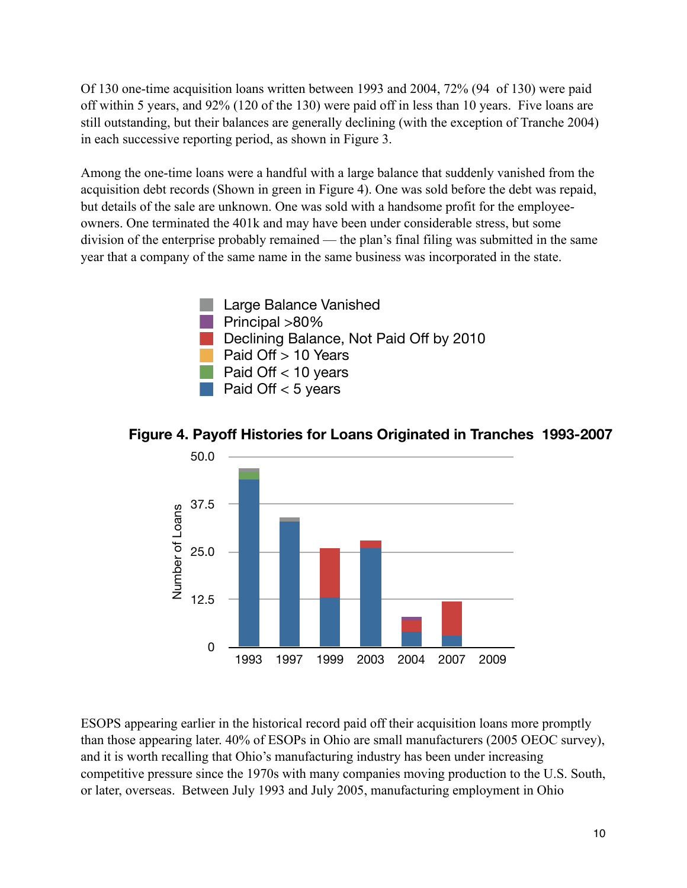Of 130 one-time acquisition loans written between 1993 and 2004, 72% (94 of 130) were paid off within 5 years, and 92% (120 of the 130) were paid off in less than 10 years. Five loans are still outstanding, but their balances are generally declining (with the exception of Tranche 2004) in each successive reporting period, as shown in Figure 3.

Among the one-time loans were a handful with a large balance that suddenly vanished from the acquisition debt records (Shown in green in Figure 4). One was sold before the debt was repaid, but details of the sale are unknown. One was sold with a handsome profit for the employeeowners. One terminated the 401k and may have been under considerable stress, but some division of the enterprise probably remained — the plan's final filing was submitted in the same year that a company of the same name in the same business was incorporated in the state.





1993 1997 1999 2003 2004 2007 2009

**Figure 4. Payoff Histories for Loans Originated in Tranches 1993-2007**

ESOPS appearing earlier in the historical record paid off their acquisition loans more promptly than those appearing later. 40% of ESOPs in Ohio are small manufacturers (2005 OEOC survey), and it is worth recalling that Ohio's manufacturing industry has been under increasing competitive pressure since the 1970s with many companies moving production to the U.S. South, or later, overseas. Between July 1993 and July 2005, manufacturing employment in Ohio

0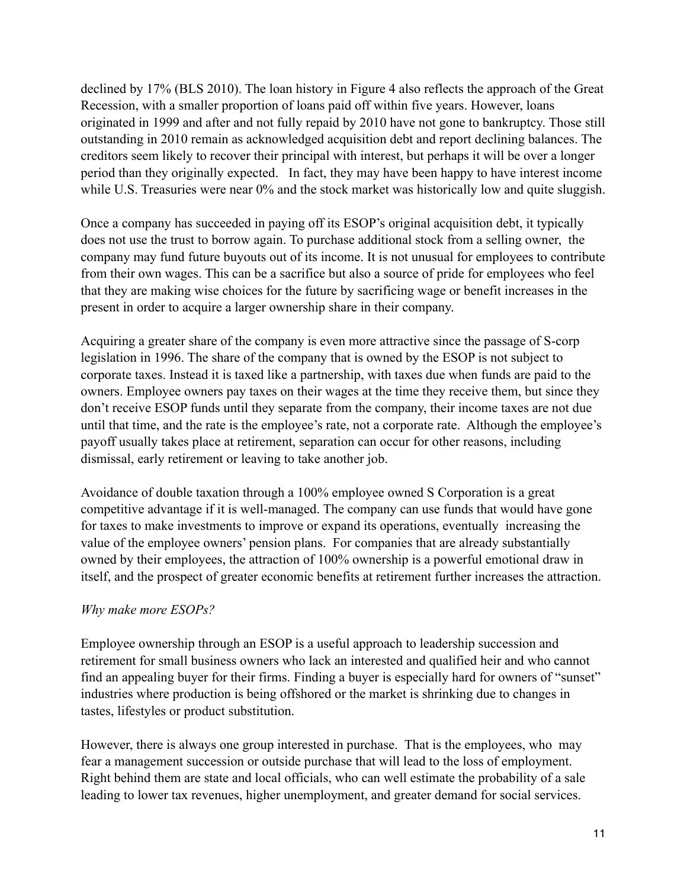declined by 17% (BLS 2010). The loan history in Figure 4 also reflects the approach of the Great Recession, with a smaller proportion of loans paid off within five years. However, loans originated in 1999 and after and not fully repaid by 2010 have not gone to bankruptcy. Those still outstanding in 2010 remain as acknowledged acquisition debt and report declining balances. The creditors seem likely to recover their principal with interest, but perhaps it will be over a longer period than they originally expected. In fact, they may have been happy to have interest income while U.S. Treasuries were near 0% and the stock market was historically low and quite sluggish.

Once a company has succeeded in paying off its ESOP's original acquisition debt, it typically does not use the trust to borrow again. To purchase additional stock from a selling owner, the company may fund future buyouts out of its income. It is not unusual for employees to contribute from their own wages. This can be a sacrifice but also a source of pride for employees who feel that they are making wise choices for the future by sacrificing wage or benefit increases in the present in order to acquire a larger ownership share in their company.

Acquiring a greater share of the company is even more attractive since the passage of S-corp legislation in 1996. The share of the company that is owned by the ESOP is not subject to corporate taxes. Instead it is taxed like a partnership, with taxes due when funds are paid to the owners. Employee owners pay taxes on their wages at the time they receive them, but since they don't receive ESOP funds until they separate from the company, their income taxes are not due until that time, and the rate is the employee's rate, not a corporate rate. Although the employee's payoff usually takes place at retirement, separation can occur for other reasons, including dismissal, early retirement or leaving to take another job.

Avoidance of double taxation through a 100% employee owned S Corporation is a great competitive advantage if it is well-managed. The company can use funds that would have gone for taxes to make investments to improve or expand its operations, eventually increasing the value of the employee owners' pension plans. For companies that are already substantially owned by their employees, the attraction of 100% ownership is a powerful emotional draw in itself, and the prospect of greater economic benefits at retirement further increases the attraction.

## *Why make more ESOPs?*

Employee ownership through an ESOP is a useful approach to leadership succession and retirement for small business owners who lack an interested and qualified heir and who cannot find an appealing buyer for their firms. Finding a buyer is especially hard for owners of "sunset" industries where production is being offshored or the market is shrinking due to changes in tastes, lifestyles or product substitution.

However, there is always one group interested in purchase. That is the employees, who may fear a management succession or outside purchase that will lead to the loss of employment. Right behind them are state and local officials, who can well estimate the probability of a sale leading to lower tax revenues, higher unemployment, and greater demand for social services.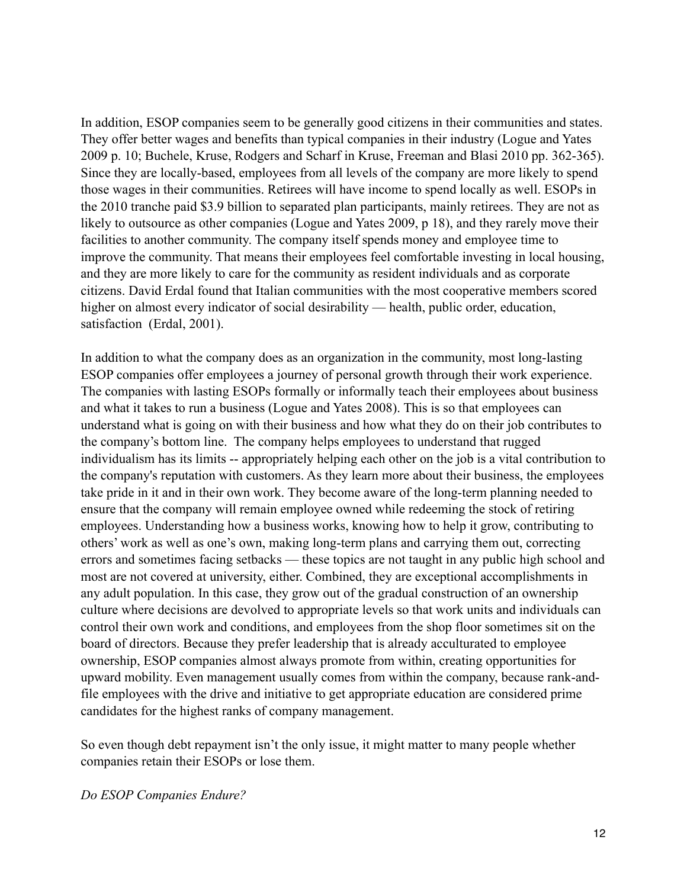In addition, ESOP companies seem to be generally good citizens in their communities and states. They offer better wages and benefits than typical companies in their industry (Logue and Yates 2009 p. 10; Buchele, Kruse, Rodgers and Scharf in Kruse, Freeman and Blasi 2010 pp. 362-365). Since they are locally-based, employees from all levels of the company are more likely to spend those wages in their communities. Retirees will have income to spend locally as well. ESOPs in the 2010 tranche paid \$3.9 billion to separated plan participants, mainly retirees. They are not as likely to outsource as other companies (Logue and Yates 2009, p 18), and they rarely move their facilities to another community. The company itself spends money and employee time to improve the community. That means their employees feel comfortable investing in local housing, and they are more likely to care for the community as resident individuals and as corporate citizens. David Erdal found that Italian communities with the most cooperative members scored higher on almost every indicator of social desirability — health, public order, education, satisfaction (Erdal, 2001).

In addition to what the company does as an organization in the community, most long-lasting ESOP companies offer employees a journey of personal growth through their work experience. The companies with lasting ESOPs formally or informally teach their employees about business and what it takes to run a business (Logue and Yates 2008). This is so that employees can understand what is going on with their business and how what they do on their job contributes to the company's bottom line. The company helps employees to understand that rugged individualism has its limits -- appropriately helping each other on the job is a vital contribution to the company's reputation with customers. As they learn more about their business, the employees take pride in it and in their own work. They become aware of the long-term planning needed to ensure that the company will remain employee owned while redeeming the stock of retiring employees. Understanding how a business works, knowing how to help it grow, contributing to others' work as well as one's own, making long-term plans and carrying them out, correcting errors and sometimes facing setbacks — these topics are not taught in any public high school and most are not covered at university, either. Combined, they are exceptional accomplishments in any adult population. In this case, they grow out of the gradual construction of an ownership culture where decisions are devolved to appropriate levels so that work units and individuals can control their own work and conditions, and employees from the shop floor sometimes sit on the board of directors. Because they prefer leadership that is already acculturated to employee ownership, ESOP companies almost always promote from within, creating opportunities for upward mobility. Even management usually comes from within the company, because rank-andfile employees with the drive and initiative to get appropriate education are considered prime candidates for the highest ranks of company management.

So even though debt repayment isn't the only issue, it might matter to many people whether companies retain their ESOPs or lose them.

*Do ESOP Companies Endure?*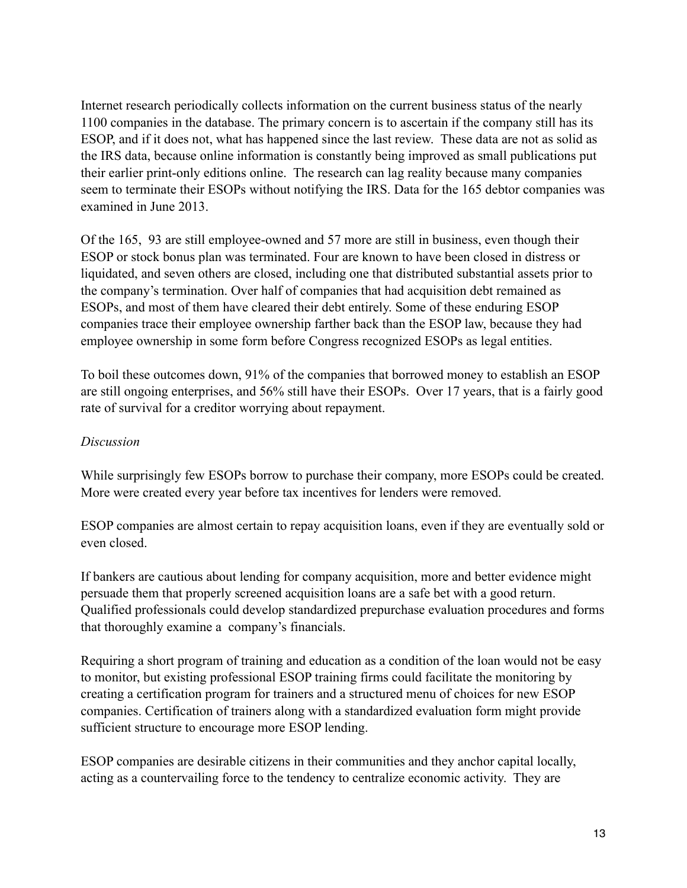Internet research periodically collects information on the current business status of the nearly 1100 companies in the database. The primary concern is to ascertain if the company still has its ESOP, and if it does not, what has happened since the last review. These data are not as solid as the IRS data, because online information is constantly being improved as small publications put their earlier print-only editions online. The research can lag reality because many companies seem to terminate their ESOPs without notifying the IRS. Data for the 165 debtor companies was examined in June 2013.

Of the 165, 93 are still employee-owned and 57 more are still in business, even though their ESOP or stock bonus plan was terminated. Four are known to have been closed in distress or liquidated, and seven others are closed, including one that distributed substantial assets prior to the company's termination. Over half of companies that had acquisition debt remained as ESOPs, and most of them have cleared their debt entirely. Some of these enduring ESOP companies trace their employee ownership farther back than the ESOP law, because they had employee ownership in some form before Congress recognized ESOPs as legal entities.

To boil these outcomes down, 91% of the companies that borrowed money to establish an ESOP are still ongoing enterprises, and 56% still have their ESOPs. Over 17 years, that is a fairly good rate of survival for a creditor worrying about repayment.

## *Discussion*

While surprisingly few ESOPs borrow to purchase their company, more ESOPs could be created. More were created every year before tax incentives for lenders were removed.

ESOP companies are almost certain to repay acquisition loans, even if they are eventually sold or even closed.

If bankers are cautious about lending for company acquisition, more and better evidence might persuade them that properly screened acquisition loans are a safe bet with a good return. Qualified professionals could develop standardized prepurchase evaluation procedures and forms that thoroughly examine a company's financials.

Requiring a short program of training and education as a condition of the loan would not be easy to monitor, but existing professional ESOP training firms could facilitate the monitoring by creating a certification program for trainers and a structured menu of choices for new ESOP companies. Certification of trainers along with a standardized evaluation form might provide sufficient structure to encourage more ESOP lending.

ESOP companies are desirable citizens in their communities and they anchor capital locally, acting as a countervailing force to the tendency to centralize economic activity. They are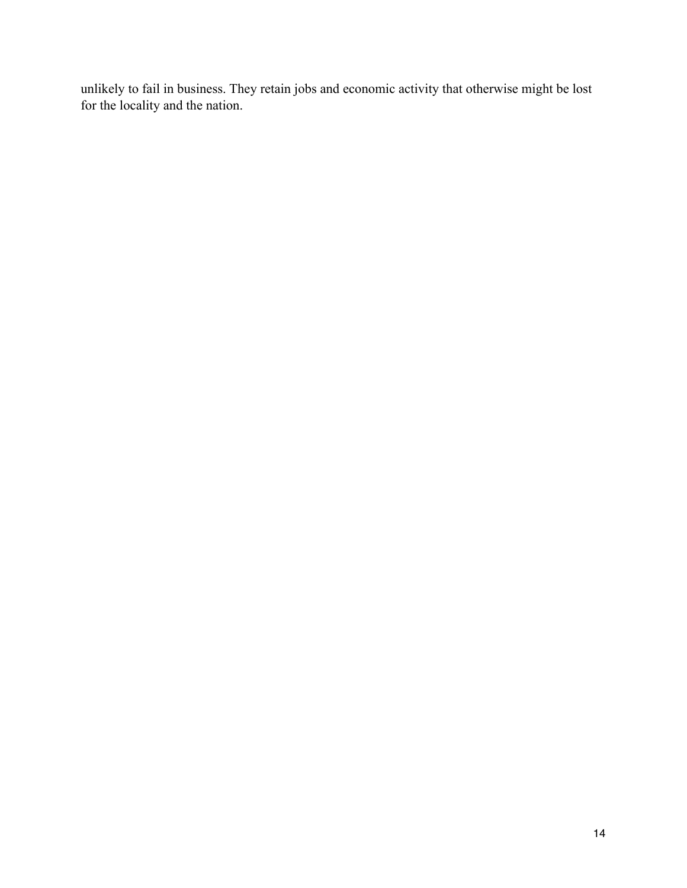unlikely to fail in business. They retain jobs and economic activity that otherwise might be lost for the locality and the nation.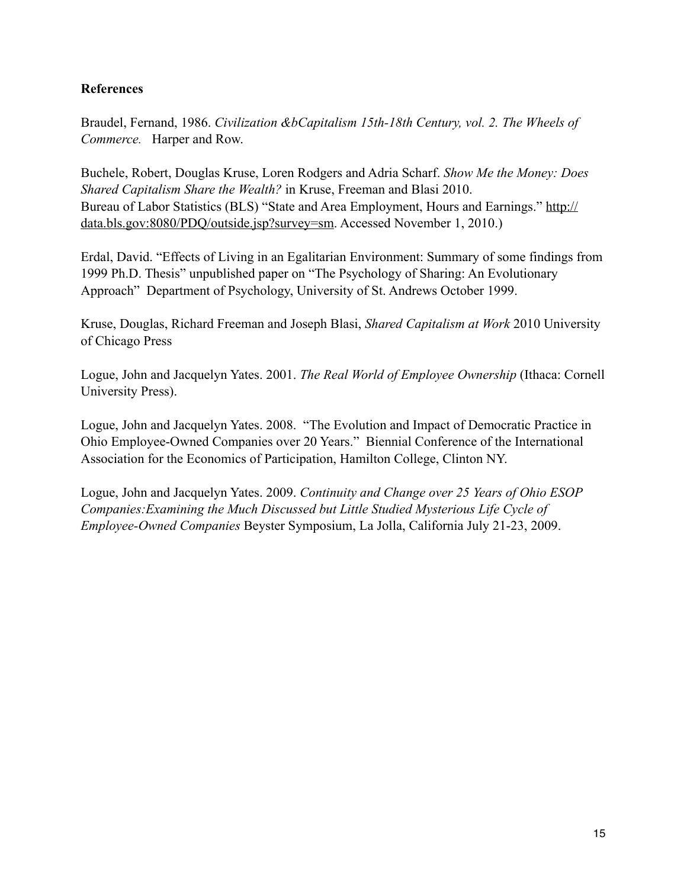## **References**

Braudel, Fernand, 1986. *Civilization &bCapitalism 15th-18th Century, vol. 2. The Wheels of Commerce.* Harper and Row.

Buchele, Robert, Douglas Kruse, Loren Rodgers and Adria Scharf. *Show Me the Money: Does Shared Capitalism Share the Wealth?* in Kruse, Freeman and Blasi 2010. Bureau of Labor Statistics (BLS) "State and Area Employment, Hours and Earnings." [http://](http://data.bls.gov:8080/PDQ/outside.jsp?survey=sm) [data.bls.gov:8080/PDQ/outside.jsp?survey=sm.](http://data.bls.gov:8080/PDQ/outside.jsp?survey=sm) Accessed November 1, 2010.)

Erdal, David. "Effects of Living in an Egalitarian Environment: Summary of some findings from 1999 Ph.D. Thesis" unpublished paper on "The Psychology of Sharing: An Evolutionary Approach" Department of Psychology, University of St. Andrews October 1999.

Kruse, Douglas, Richard Freeman and Joseph Blasi, *Shared Capitalism at Work* 2010 University of Chicago Press

Logue, John and Jacquelyn Yates. 2001. *The Real World of Employee Ownership* (Ithaca: Cornell University Press).

Logue, John and Jacquelyn Yates. 2008. "The Evolution and Impact of Democratic Practice in Ohio Employee-Owned Companies over 20 Years." Biennial Conference of the International Association for the Economics of Participation, Hamilton College, Clinton NY.

Logue, John and Jacquelyn Yates. 2009. *Continuity and Change over 25 Years of Ohio ESOP Companies:Examining the Much Discussed but Little Studied Mysterious Life Cycle of Employee-Owned Companies* Beyster Symposium, La Jolla, California July 21-23, 2009.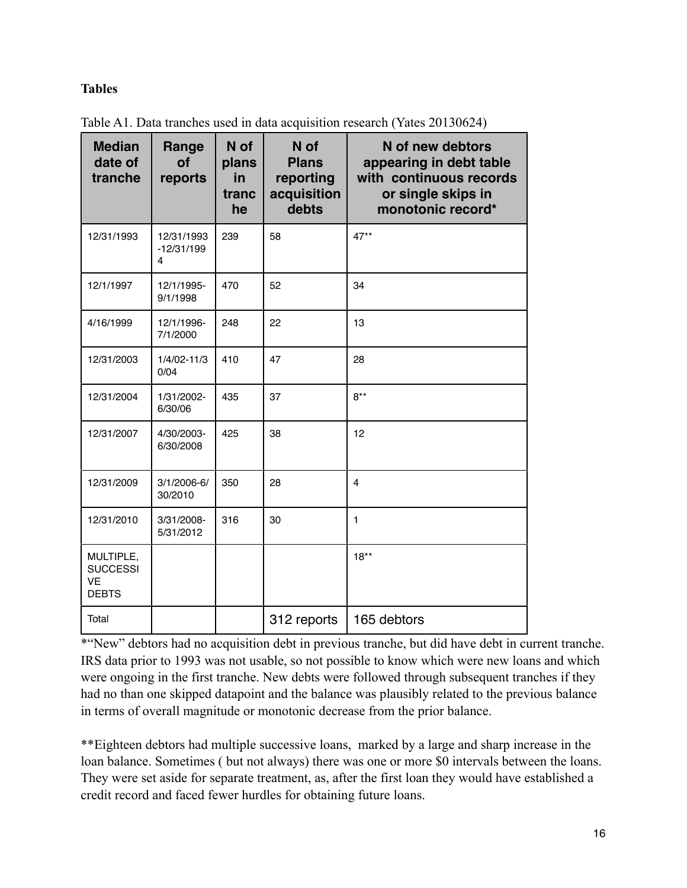## **Tables**

| <b>Median</b><br>date of<br>tranche                       | Range<br><b>of</b><br>reports   | N of<br>plans<br>in<br>tranc<br>he | N of<br><b>Plans</b><br>reporting<br>acquisition<br>debts | N of new debtors<br>appearing in debt table<br>with continuous records<br>or single skips in<br>monotonic record* |
|-----------------------------------------------------------|---------------------------------|------------------------------------|-----------------------------------------------------------|-------------------------------------------------------------------------------------------------------------------|
| 12/31/1993                                                | 12/31/1993<br>$-12/31/199$<br>4 | 239                                | 58                                                        | $47**$                                                                                                            |
| 12/1/1997                                                 | 12/1/1995-<br>9/1/1998          | 470                                | 52                                                        | 34                                                                                                                |
| 4/16/1999                                                 | 12/1/1996-<br>7/1/2000          | 248                                | 22                                                        | 13                                                                                                                |
| 12/31/2003                                                | $1/4/02 - 11/3$<br>0/04         | 410                                | 47                                                        | 28                                                                                                                |
| 12/31/2004                                                | 1/31/2002-<br>6/30/06           | 435                                | 37                                                        | $8***$                                                                                                            |
| 12/31/2007                                                | 4/30/2003-<br>6/30/2008         | 425                                | 38                                                        | 12                                                                                                                |
| 12/31/2009                                                | 3/1/2006-6/<br>30/2010          | 350                                | 28                                                        | 4                                                                                                                 |
| 12/31/2010                                                | 3/31/2008-<br>5/31/2012         | 316                                | 30                                                        | $\mathbf{1}$                                                                                                      |
| MULTIPLE,<br><b>SUCCESSI</b><br><b>VE</b><br><b>DEBTS</b> |                                 |                                    |                                                           | $18***$                                                                                                           |
| Total                                                     |                                 |                                    | 312 reports                                               | 165 debtors                                                                                                       |

Table A1. Data tranches used in data acquisition research (Yates 20130624)

\*"New" debtors had no acquisition debt in previous tranche, but did have debt in current tranche. IRS data prior to 1993 was not usable, so not possible to know which were new loans and which were ongoing in the first tranche. New debts were followed through subsequent tranches if they had no than one skipped datapoint and the balance was plausibly related to the previous balance in terms of overall magnitude or monotonic decrease from the prior balance.

\*\*Eighteen debtors had multiple successive loans, marked by a large and sharp increase in the loan balance. Sometimes ( but not always) there was one or more \$0 intervals between the loans. They were set aside for separate treatment, as, after the first loan they would have established a credit record and faced fewer hurdles for obtaining future loans.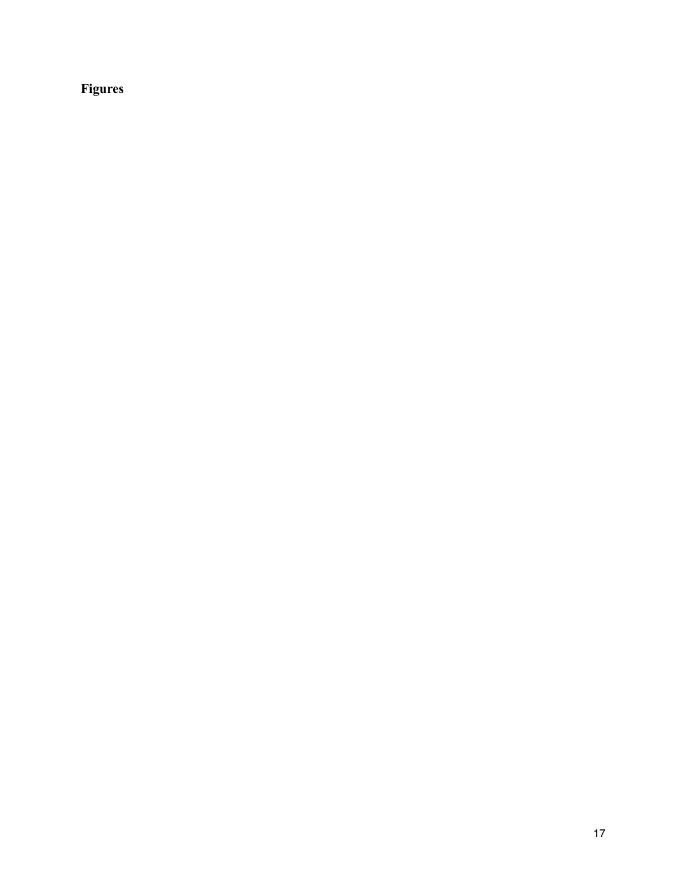# **Figures**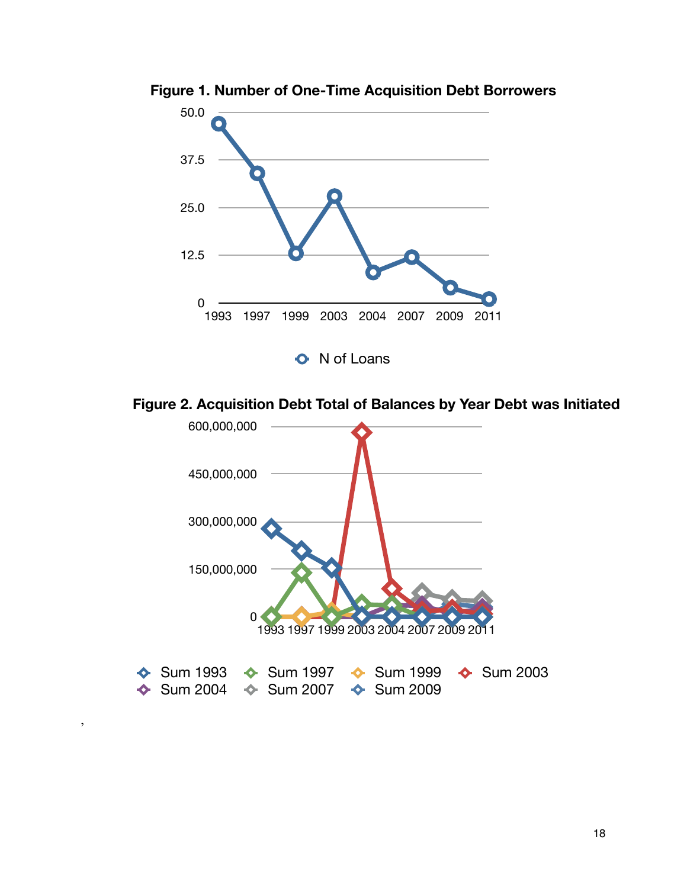

**Figure 1. Number of One-Time Acquisition Debt Borrowers**

**Figure 2. Acquisition Debt Total of Balances by Year Debt was Initiated**



,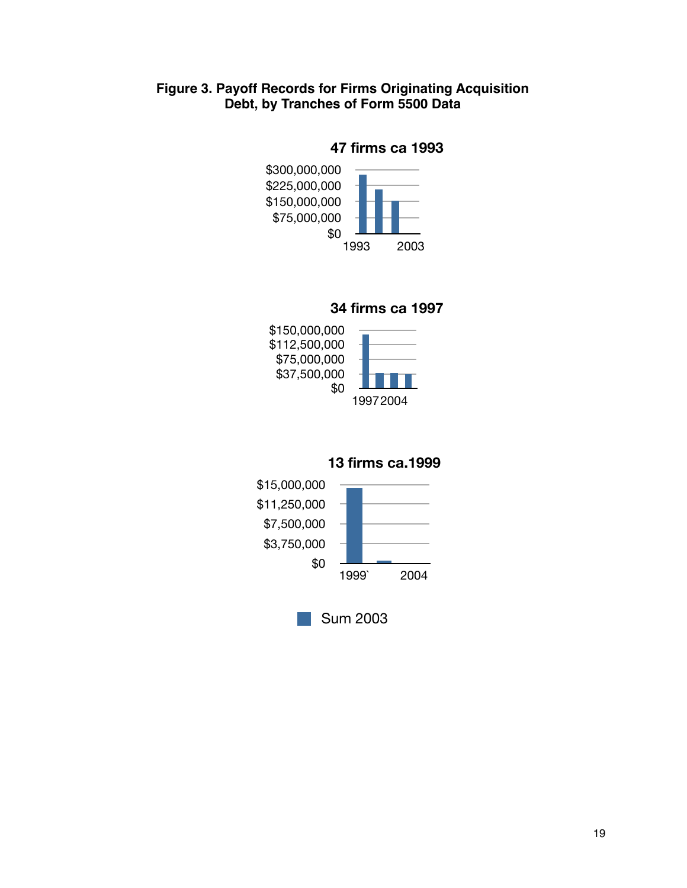# **Figure 3. Payoff Records for Firms Originating Acquisition Debt, by Tranches of Form 5500 Data**

## **47 firms ca 1993**



## **34 firms ca 1997**



#### **13 firms ca.1999**



Sum 2003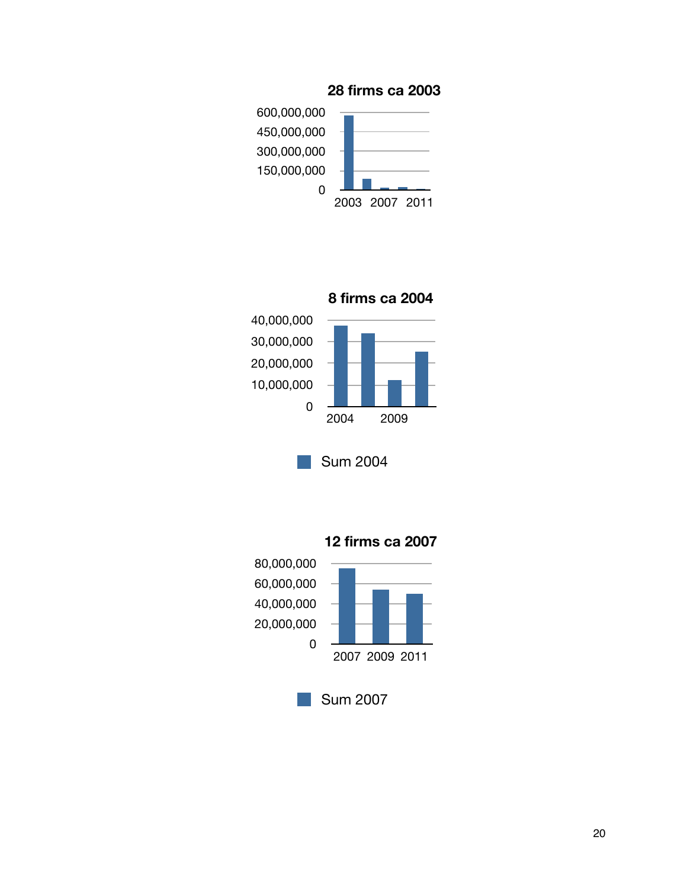